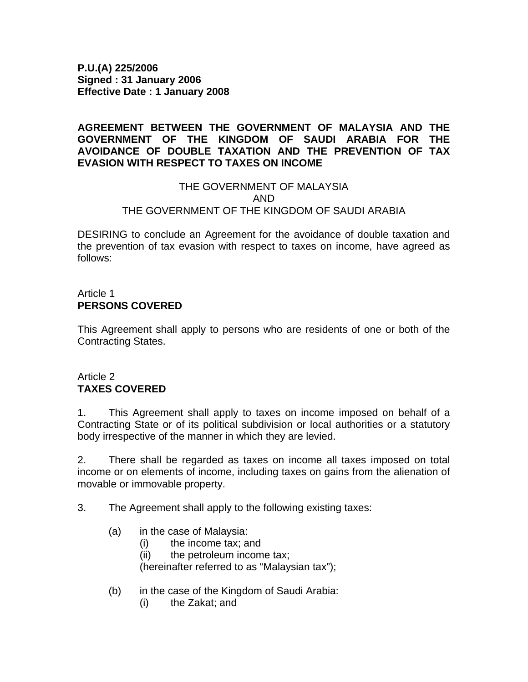**P.U.(A) 225/2006 Signed : 31 January 2006 Effective Date : 1 January 2008**

#### **AGREEMENT BETWEEN THE GOVERNMENT OF MALAYSIA AND THE GOVERNMENT OF THE KINGDOM OF SAUDI ARABIA FOR THE AVOIDANCE OF DOUBLE TAXATION AND THE PREVENTION OF TAX EVASION WITH RESPECT TO TAXES ON INCOME**

#### THE GOVERNMENT OF MALAYSIA AND THE GOVERNMENT OF THE KINGDOM OF SAUDI ARABIA

DESIRING to conclude an Agreement for the avoidance of double taxation and the prevention of tax evasion with respect to taxes on income, have agreed as follows:

#### Article 1 **PERSONS COVERED**

This Agreement shall apply to persons who are residents of one or both of the Contracting States.

#### Article 2 **TAXES COVERED**

1. This Agreement shall apply to taxes on income imposed on behalf of a Contracting State or of its political subdivision or local authorities or a statutory body irrespective of the manner in which they are levied.

2. There shall be regarded as taxes on income all taxes imposed on total income or on elements of income, including taxes on gains from the alienation of movable or immovable property.

3. The Agreement shall apply to the following existing taxes:

- (a) in the case of Malaysia:
	- (i) the income tax; and
	- (ii) the petroleum income tax;

(hereinafter referred to as "Malaysian tax");

- (b) in the case of the Kingdom of Saudi Arabia:
	- (i) the Zakat; and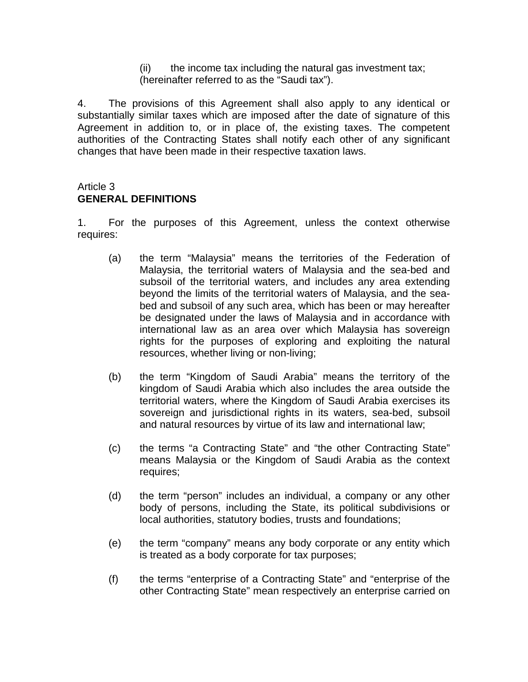$(ii)$  the income tax including the natural gas investment tax; (hereinafter referred to as the "Saudi tax").

4. The provisions of this Agreement shall also apply to any identical or substantially similar taxes which are imposed after the date of signature of this Agreement in addition to, or in place of, the existing taxes. The competent authorities of the Contracting States shall notify each other of any significant changes that have been made in their respective taxation laws.

#### Article 3 **GENERAL DEFINITIONS**

1. For the purposes of this Agreement, unless the context otherwise requires:

- (a) the term "Malaysia" means the territories of the Federation of Malaysia, the territorial waters of Malaysia and the sea-bed and subsoil of the territorial waters, and includes any area extending beyond the limits of the territorial waters of Malaysia, and the seabed and subsoil of any such area, which has been or may hereafter be designated under the laws of Malaysia and in accordance with international law as an area over which Malaysia has sovereign rights for the purposes of exploring and exploiting the natural resources, whether living or non-living;
- (b) the term "Kingdom of Saudi Arabia" means the territory of the kingdom of Saudi Arabia which also includes the area outside the territorial waters, where the Kingdom of Saudi Arabia exercises its sovereign and jurisdictional rights in its waters, sea-bed, subsoil and natural resources by virtue of its law and international law;
- (c) the terms "a Contracting State" and "the other Contracting State" means Malaysia or the Kingdom of Saudi Arabia as the context requires;
- (d) the term "person" includes an individual, a company or any other body of persons, including the State, its political subdivisions or local authorities, statutory bodies, trusts and foundations;
- (e) the term "company" means any body corporate or any entity which is treated as a body corporate for tax purposes;
- (f) the terms "enterprise of a Contracting State" and "enterprise of the other Contracting State" mean respectively an enterprise carried on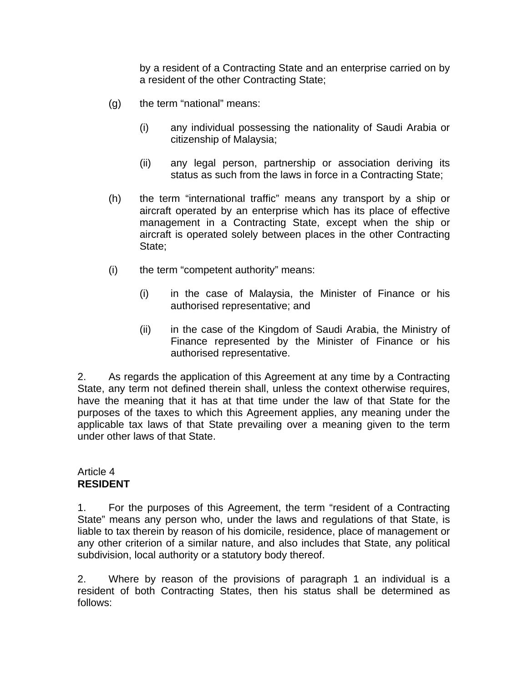by a resident of a Contracting State and an enterprise carried on by a resident of the other Contracting State;

- (g) the term "national" means:
	- (i) any individual possessing the nationality of Saudi Arabia or citizenship of Malaysia;
	- (ii) any legal person, partnership or association deriving its status as such from the laws in force in a Contracting State;
- (h) the term "international traffic" means any transport by a ship or aircraft operated by an enterprise which has its place of effective management in a Contracting State, except when the ship or aircraft is operated solely between places in the other Contracting State;
- (i) the term "competent authority" means:
	- (i) in the case of Malaysia, the Minister of Finance or his authorised representative; and
	- (ii) in the case of the Kingdom of Saudi Arabia, the Ministry of Finance represented by the Minister of Finance or his authorised representative.

2. As regards the application of this Agreement at any time by a Contracting State, any term not defined therein shall, unless the context otherwise requires, have the meaning that it has at that time under the law of that State for the purposes of the taxes to which this Agreement applies, any meaning under the applicable tax laws of that State prevailing over a meaning given to the term under other laws of that State.

### Article 4 **RESIDENT**

1. For the purposes of this Agreement, the term "resident of a Contracting State" means any person who, under the laws and regulations of that State, is liable to tax therein by reason of his domicile, residence, place of management or any other criterion of a similar nature, and also includes that State, any political subdivision, local authority or a statutory body thereof.

2. Where by reason of the provisions of paragraph 1 an individual is a resident of both Contracting States, then his status shall be determined as follows: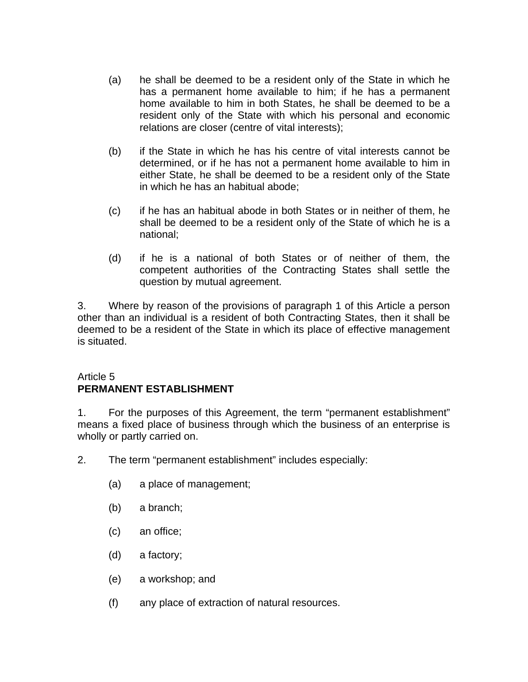- (a) he shall be deemed to be a resident only of the State in which he has a permanent home available to him; if he has a permanent home available to him in both States, he shall be deemed to be a resident only of the State with which his personal and economic relations are closer (centre of vital interests);
- (b) if the State in which he has his centre of vital interests cannot be determined, or if he has not a permanent home available to him in either State, he shall be deemed to be a resident only of the State in which he has an habitual abode;
- (c) if he has an habitual abode in both States or in neither of them, he shall be deemed to be a resident only of the State of which he is a national;
- (d) if he is a national of both States or of neither of them, the competent authorities of the Contracting States shall settle the question by mutual agreement.

3. Where by reason of the provisions of paragraph 1 of this Article a person other than an individual is a resident of both Contracting States, then it shall be deemed to be a resident of the State in which its place of effective management is situated.

### Article 5 **PERMANENT ESTABLISHMENT**

1. For the purposes of this Agreement, the term "permanent establishment" means a fixed place of business through which the business of an enterprise is wholly or partly carried on.

- 2. The term "permanent establishment" includes especially:
	- (a) a place of management;
	- (b) a branch;
	- (c) an office;
	- (d) a factory;
	- (e) a workshop; and
	- (f) any place of extraction of natural resources.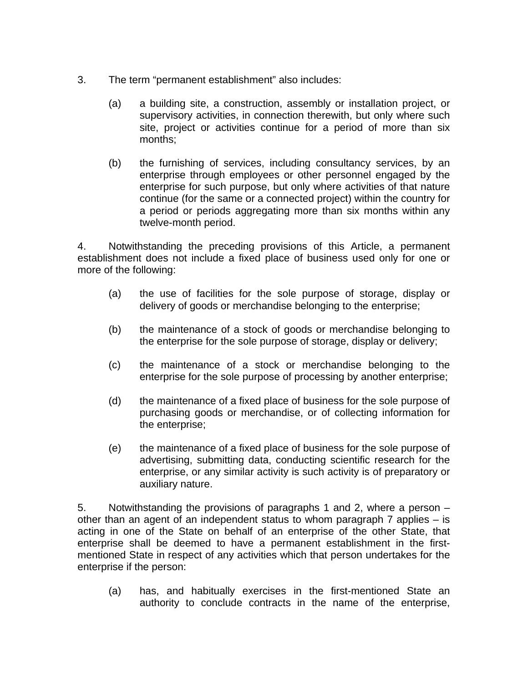- 3. The term "permanent establishment" also includes:
	- (a) a building site, a construction, assembly or installation project, or supervisory activities, in connection therewith, but only where such site, project or activities continue for a period of more than six months;
	- (b) the furnishing of services, including consultancy services, by an enterprise through employees or other personnel engaged by the enterprise for such purpose, but only where activities of that nature continue (for the same or a connected project) within the country for a period or periods aggregating more than six months within any twelve-month period.

4. Notwithstanding the preceding provisions of this Article, a permanent establishment does not include a fixed place of business used only for one or more of the following:

- (a) the use of facilities for the sole purpose of storage, display or delivery of goods or merchandise belonging to the enterprise;
- (b) the maintenance of a stock of goods or merchandise belonging to the enterprise for the sole purpose of storage, display or delivery;
- (c) the maintenance of a stock or merchandise belonging to the enterprise for the sole purpose of processing by another enterprise;
- (d) the maintenance of a fixed place of business for the sole purpose of purchasing goods or merchandise, or of collecting information for the enterprise;
- (e) the maintenance of a fixed place of business for the sole purpose of advertising, submitting data, conducting scientific research for the enterprise, or any similar activity is such activity is of preparatory or auxiliary nature.

5. Notwithstanding the provisions of paragraphs 1 and 2, where a person – other than an agent of an independent status to whom paragraph 7 applies – is acting in one of the State on behalf of an enterprise of the other State, that enterprise shall be deemed to have a permanent establishment in the firstmentioned State in respect of any activities which that person undertakes for the enterprise if the person:

(a) has, and habitually exercises in the first-mentioned State an authority to conclude contracts in the name of the enterprise,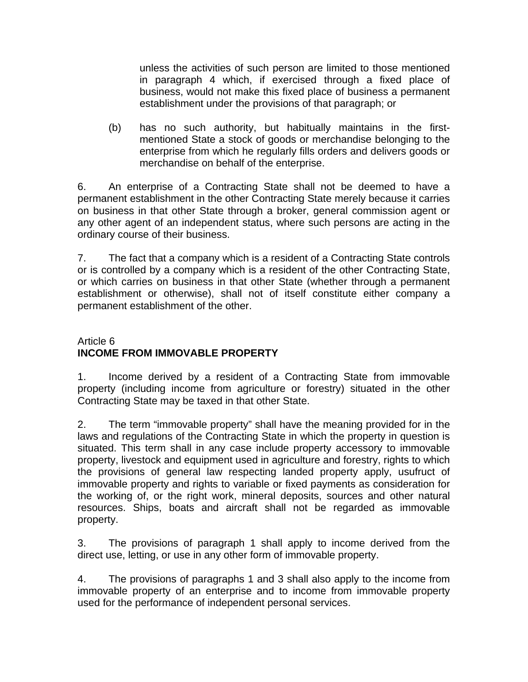unless the activities of such person are limited to those mentioned in paragraph 4 which, if exercised through a fixed place of business, would not make this fixed place of business a permanent establishment under the provisions of that paragraph; or

(b) has no such authority, but habitually maintains in the firstmentioned State a stock of goods or merchandise belonging to the enterprise from which he regularly fills orders and delivers goods or merchandise on behalf of the enterprise.

6. An enterprise of a Contracting State shall not be deemed to have a permanent establishment in the other Contracting State merely because it carries on business in that other State through a broker, general commission agent or any other agent of an independent status, where such persons are acting in the ordinary course of their business.

7. The fact that a company which is a resident of a Contracting State controls or is controlled by a company which is a resident of the other Contracting State, or which carries on business in that other State (whether through a permanent establishment or otherwise), shall not of itself constitute either company a permanent establishment of the other.

# Article 6 **INCOME FROM IMMOVABLE PROPERTY**

1. Income derived by a resident of a Contracting State from immovable property (including income from agriculture or forestry) situated in the other Contracting State may be taxed in that other State.

2. The term "immovable property" shall have the meaning provided for in the laws and regulations of the Contracting State in which the property in question is situated. This term shall in any case include property accessory to immovable property, livestock and equipment used in agriculture and forestry, rights to which the provisions of general law respecting landed property apply, usufruct of immovable property and rights to variable or fixed payments as consideration for the working of, or the right work, mineral deposits, sources and other natural resources. Ships, boats and aircraft shall not be regarded as immovable property.

3. The provisions of paragraph 1 shall apply to income derived from the direct use, letting, or use in any other form of immovable property.

4. The provisions of paragraphs 1 and 3 shall also apply to the income from immovable property of an enterprise and to income from immovable property used for the performance of independent personal services.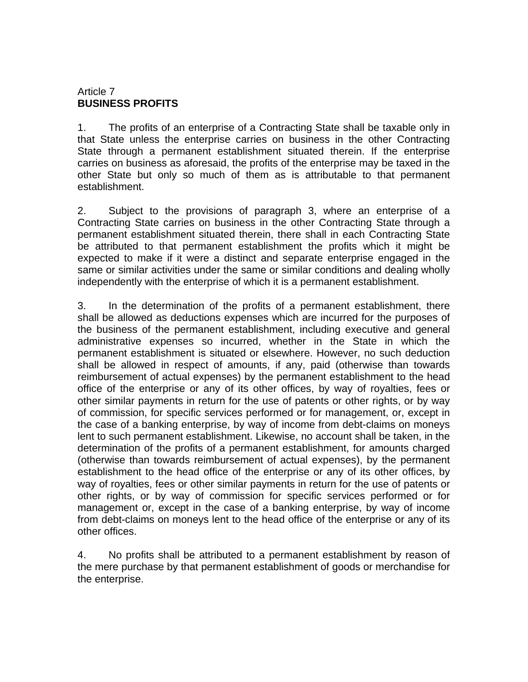#### Article 7 **BUSINESS PROFITS**

1. The profits of an enterprise of a Contracting State shall be taxable only in that State unless the enterprise carries on business in the other Contracting State through a permanent establishment situated therein. If the enterprise carries on business as aforesaid, the profits of the enterprise may be taxed in the other State but only so much of them as is attributable to that permanent establishment.

2. Subject to the provisions of paragraph 3, where an enterprise of a Contracting State carries on business in the other Contracting State through a permanent establishment situated therein, there shall in each Contracting State be attributed to that permanent establishment the profits which it might be expected to make if it were a distinct and separate enterprise engaged in the same or similar activities under the same or similar conditions and dealing wholly independently with the enterprise of which it is a permanent establishment.

3. In the determination of the profits of a permanent establishment, there shall be allowed as deductions expenses which are incurred for the purposes of the business of the permanent establishment, including executive and general administrative expenses so incurred, whether in the State in which the permanent establishment is situated or elsewhere. However, no such deduction shall be allowed in respect of amounts, if any, paid (otherwise than towards reimbursement of actual expenses) by the permanent establishment to the head office of the enterprise or any of its other offices, by way of royalties, fees or other similar payments in return for the use of patents or other rights, or by way of commission, for specific services performed or for management, or, except in the case of a banking enterprise, by way of income from debt-claims on moneys lent to such permanent establishment. Likewise, no account shall be taken, in the determination of the profits of a permanent establishment, for amounts charged (otherwise than towards reimbursement of actual expenses), by the permanent establishment to the head office of the enterprise or any of its other offices, by way of royalties, fees or other similar payments in return for the use of patents or other rights, or by way of commission for specific services performed or for management or, except in the case of a banking enterprise, by way of income from debt-claims on moneys lent to the head office of the enterprise or any of its other offices.

4. No profits shall be attributed to a permanent establishment by reason of the mere purchase by that permanent establishment of goods or merchandise for the enterprise.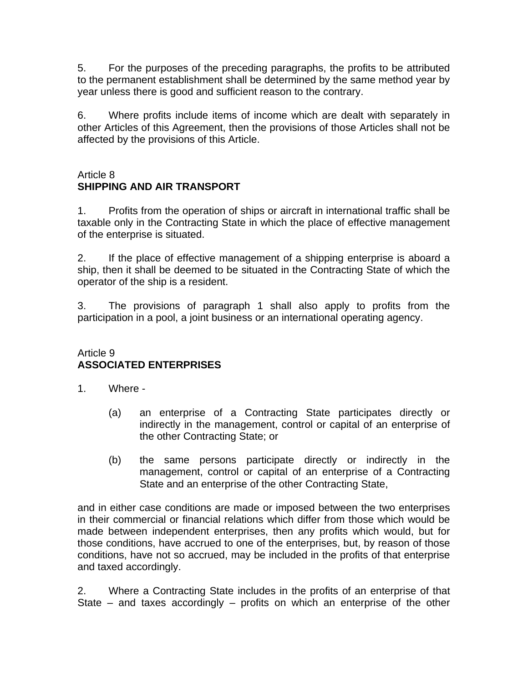5. For the purposes of the preceding paragraphs, the profits to be attributed to the permanent establishment shall be determined by the same method year by year unless there is good and sufficient reason to the contrary.

6. Where profits include items of income which are dealt with separately in other Articles of this Agreement, then the provisions of those Articles shall not be affected by the provisions of this Article.

# Article 8 **SHIPPING AND AIR TRANSPORT**

1. Profits from the operation of ships or aircraft in international traffic shall be taxable only in the Contracting State in which the place of effective management of the enterprise is situated.

2. If the place of effective management of a shipping enterprise is aboard a ship, then it shall be deemed to be situated in the Contracting State of which the operator of the ship is a resident.

3. The provisions of paragraph 1 shall also apply to profits from the participation in a pool, a joint business or an international operating agency.

# Article 9 **ASSOCIATED ENTERPRISES**

- 1. Where
	- (a) an enterprise of a Contracting State participates directly or indirectly in the management, control or capital of an enterprise of the other Contracting State; or
	- (b) the same persons participate directly or indirectly in the management, control or capital of an enterprise of a Contracting State and an enterprise of the other Contracting State,

and in either case conditions are made or imposed between the two enterprises in their commercial or financial relations which differ from those which would be made between independent enterprises, then any profits which would, but for those conditions, have accrued to one of the enterprises, but, by reason of those conditions, have not so accrued, may be included in the profits of that enterprise and taxed accordingly.

2. Where a Contracting State includes in the profits of an enterprise of that State – and taxes accordingly – profits on which an enterprise of the other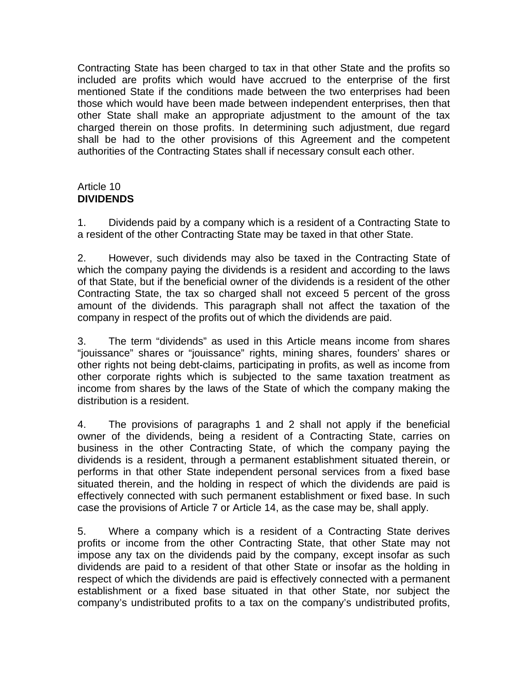Contracting State has been charged to tax in that other State and the profits so included are profits which would have accrued to the enterprise of the first mentioned State if the conditions made between the two enterprises had been those which would have been made between independent enterprises, then that other State shall make an appropriate adjustment to the amount of the tax charged therein on those profits. In determining such adjustment, due regard shall be had to the other provisions of this Agreement and the competent authorities of the Contracting States shall if necessary consult each other.

### Article 10 **DIVIDENDS**

1. Dividends paid by a company which is a resident of a Contracting State to a resident of the other Contracting State may be taxed in that other State.

2. However, such dividends may also be taxed in the Contracting State of which the company paying the dividends is a resident and according to the laws of that State, but if the beneficial owner of the dividends is a resident of the other Contracting State, the tax so charged shall not exceed 5 percent of the gross amount of the dividends. This paragraph shall not affect the taxation of the company in respect of the profits out of which the dividends are paid.

3. The term "dividends" as used in this Article means income from shares "jouissance" shares or "jouissance" rights, mining shares, founders' shares or other rights not being debt-claims, participating in profits, as well as income from other corporate rights which is subjected to the same taxation treatment as income from shares by the laws of the State of which the company making the distribution is a resident.

4. The provisions of paragraphs 1 and 2 shall not apply if the beneficial owner of the dividends, being a resident of a Contracting State, carries on business in the other Contracting State, of which the company paying the dividends is a resident, through a permanent establishment situated therein, or performs in that other State independent personal services from a fixed base situated therein, and the holding in respect of which the dividends are paid is effectively connected with such permanent establishment or fixed base. In such case the provisions of Article 7 or Article 14, as the case may be, shall apply.

5. Where a company which is a resident of a Contracting State derives profits or income from the other Contracting State, that other State may not impose any tax on the dividends paid by the company, except insofar as such dividends are paid to a resident of that other State or insofar as the holding in respect of which the dividends are paid is effectively connected with a permanent establishment or a fixed base situated in that other State, nor subject the company's undistributed profits to a tax on the company's undistributed profits,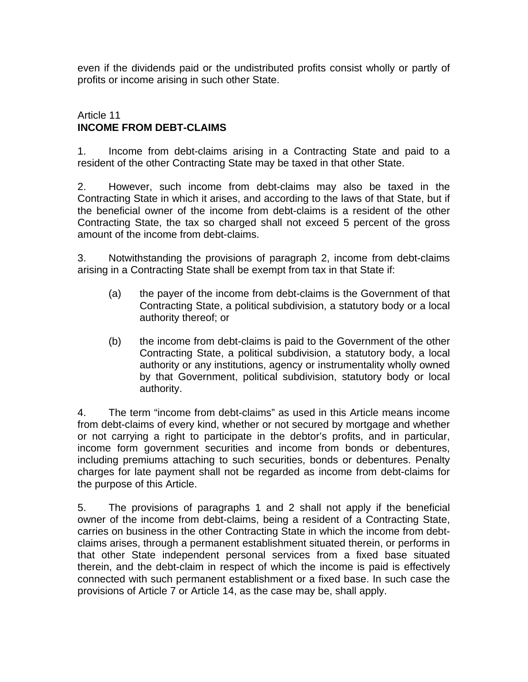even if the dividends paid or the undistributed profits consist wholly or partly of profits or income arising in such other State.

### Article 11 **INCOME FROM DEBT-CLAIMS**

1. Income from debt-claims arising in a Contracting State and paid to a resident of the other Contracting State may be taxed in that other State.

2. However, such income from debt-claims may also be taxed in the Contracting State in which it arises, and according to the laws of that State, but if the beneficial owner of the income from debt-claims is a resident of the other Contracting State, the tax so charged shall not exceed 5 percent of the gross amount of the income from debt-claims.

3. Notwithstanding the provisions of paragraph 2, income from debt-claims arising in a Contracting State shall be exempt from tax in that State if:

- (a) the payer of the income from debt-claims is the Government of that Contracting State, a political subdivision, a statutory body or a local authority thereof; or
- (b) the income from debt-claims is paid to the Government of the other Contracting State, a political subdivision, a statutory body, a local authority or any institutions, agency or instrumentality wholly owned by that Government, political subdivision, statutory body or local authority.

4. The term "income from debt-claims" as used in this Article means income from debt-claims of every kind, whether or not secured by mortgage and whether or not carrying a right to participate in the debtor's profits, and in particular, income form government securities and income from bonds or debentures, including premiums attaching to such securities, bonds or debentures. Penalty charges for late payment shall not be regarded as income from debt-claims for the purpose of this Article.

5. The provisions of paragraphs 1 and 2 shall not apply if the beneficial owner of the income from debt-claims, being a resident of a Contracting State, carries on business in the other Contracting State in which the income from debtclaims arises, through a permanent establishment situated therein, or performs in that other State independent personal services from a fixed base situated therein, and the debt-claim in respect of which the income is paid is effectively connected with such permanent establishment or a fixed base. In such case the provisions of Article 7 or Article 14, as the case may be, shall apply.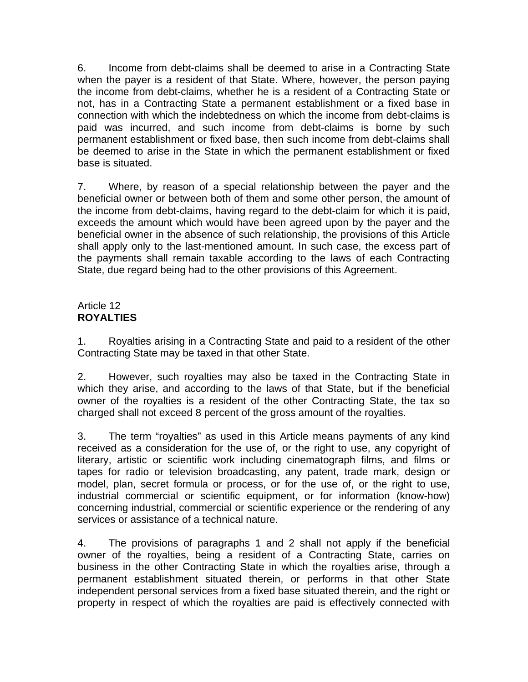6. Income from debt-claims shall be deemed to arise in a Contracting State when the payer is a resident of that State. Where, however, the person paying the income from debt-claims, whether he is a resident of a Contracting State or not, has in a Contracting State a permanent establishment or a fixed base in connection with which the indebtedness on which the income from debt-claims is paid was incurred, and such income from debt-claims is borne by such permanent establishment or fixed base, then such income from debt-claims shall be deemed to arise in the State in which the permanent establishment or fixed base is situated.

7. Where, by reason of a special relationship between the payer and the beneficial owner or between both of them and some other person, the amount of the income from debt-claims, having regard to the debt-claim for which it is paid, exceeds the amount which would have been agreed upon by the payer and the beneficial owner in the absence of such relationship, the provisions of this Article shall apply only to the last-mentioned amount. In such case, the excess part of the payments shall remain taxable according to the laws of each Contracting State, due regard being had to the other provisions of this Agreement.

# Article 12 **ROYALTIES**

1. Royalties arising in a Contracting State and paid to a resident of the other Contracting State may be taxed in that other State.

2. However, such royalties may also be taxed in the Contracting State in which they arise, and according to the laws of that State, but if the beneficial owner of the royalties is a resident of the other Contracting State, the tax so charged shall not exceed 8 percent of the gross amount of the royalties.

3. The term "royalties" as used in this Article means payments of any kind received as a consideration for the use of, or the right to use, any copyright of literary, artistic or scientific work including cinematograph films, and films or tapes for radio or television broadcasting, any patent, trade mark, design or model, plan, secret formula or process, or for the use of, or the right to use, industrial commercial or scientific equipment, or for information (know-how) concerning industrial, commercial or scientific experience or the rendering of any services or assistance of a technical nature.

4. The provisions of paragraphs 1 and 2 shall not apply if the beneficial owner of the royalties, being a resident of a Contracting State, carries on business in the other Contracting State in which the royalties arise, through a permanent establishment situated therein, or performs in that other State independent personal services from a fixed base situated therein, and the right or property in respect of which the royalties are paid is effectively connected with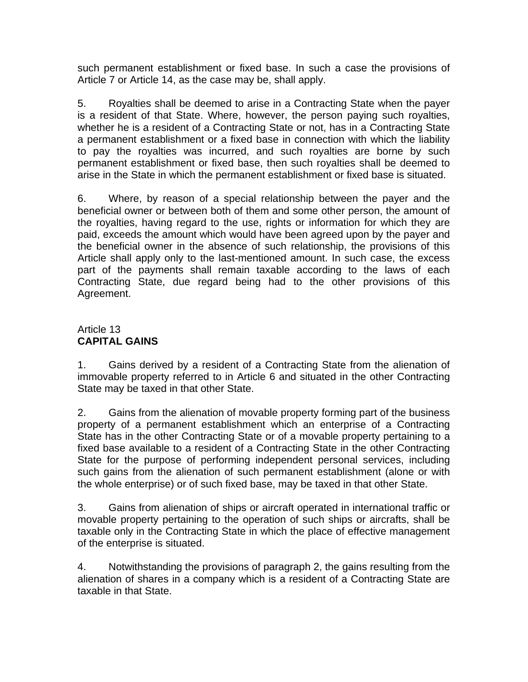such permanent establishment or fixed base. In such a case the provisions of Article 7 or Article 14, as the case may be, shall apply.

5. Royalties shall be deemed to arise in a Contracting State when the payer is a resident of that State. Where, however, the person paying such royalties, whether he is a resident of a Contracting State or not, has in a Contracting State a permanent establishment or a fixed base in connection with which the liability to pay the royalties was incurred, and such royalties are borne by such permanent establishment or fixed base, then such royalties shall be deemed to arise in the State in which the permanent establishment or fixed base is situated.

6. Where, by reason of a special relationship between the payer and the beneficial owner or between both of them and some other person, the amount of the royalties, having regard to the use, rights or information for which they are paid, exceeds the amount which would have been agreed upon by the payer and the beneficial owner in the absence of such relationship, the provisions of this Article shall apply only to the last-mentioned amount. In such case, the excess part of the payments shall remain taxable according to the laws of each Contracting State, due regard being had to the other provisions of this Agreement.

# Article 13 **CAPITAL GAINS**

1. Gains derived by a resident of a Contracting State from the alienation of immovable property referred to in Article 6 and situated in the other Contracting State may be taxed in that other State.

2. Gains from the alienation of movable property forming part of the business property of a permanent establishment which an enterprise of a Contracting State has in the other Contracting State or of a movable property pertaining to a fixed base available to a resident of a Contracting State in the other Contracting State for the purpose of performing independent personal services, including such gains from the alienation of such permanent establishment (alone or with the whole enterprise) or of such fixed base, may be taxed in that other State.

3. Gains from alienation of ships or aircraft operated in international traffic or movable property pertaining to the operation of such ships or aircrafts, shall be taxable only in the Contracting State in which the place of effective management of the enterprise is situated.

4. Notwithstanding the provisions of paragraph 2, the gains resulting from the alienation of shares in a company which is a resident of a Contracting State are taxable in that State.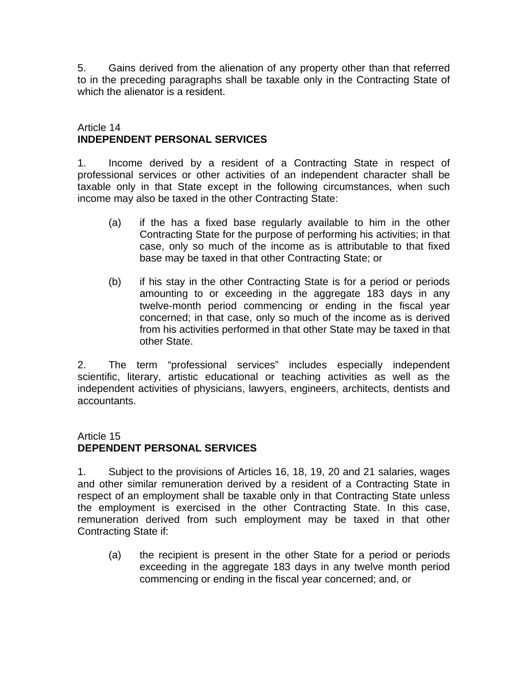5. Gains derived from the alienation of any property other than that referred to in the preceding paragraphs shall be taxable only in the Contracting State of which the alienator is a resident.

#### Article 14 **INDEPENDENT PERSONAL SERVICES**

1. Income derived by a resident of a Contracting State in respect of professional services or other activities of an independent character shall be taxable only in that State except in the following circumstances, when such income may also be taxed in the other Contracting State:

- (a) if the has a fixed base regularly available to him in the other Contracting State for the purpose of performing his activities; in that case, only so much of the income as is attributable to that fixed base may be taxed in that other Contracting State; or
- (b) if his stay in the other Contracting State is for a period or periods amounting to or exceeding in the aggregate 183 days in any twelve-month period commencing or ending in the fiscal year concerned; in that case, only so much of the income as is derived from his activities performed in that other State may be taxed in that other State.

2. The term "professional services" includes especially independent scientific, literary, artistic educational or teaching activities as well as the independent activities of physicians, lawyers, engineers, architects, dentists and accountants.

# Article 15 **DEPENDENT PERSONAL SERVICES**

1. Subject to the provisions of Articles 16, 18, 19, 20 and 21 salaries, wages and other similar remuneration derived by a resident of a Contracting State in respect of an employment shall be taxable only in that Contracting State unless the employment is exercised in the other Contracting State. In this case, remuneration derived from such employment may be taxed in that other Contracting State if:

(a) the recipient is present in the other State for a period or periods exceeding in the aggregate 183 days in any twelve month period commencing or ending in the fiscal year concerned; and, or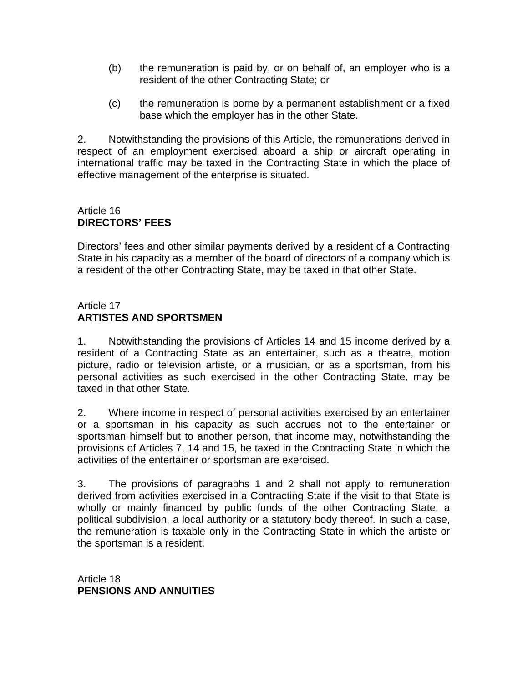- (b) the remuneration is paid by, or on behalf of, an employer who is a resident of the other Contracting State; or
- (c) the remuneration is borne by a permanent establishment or a fixed base which the employer has in the other State.

2. Notwithstanding the provisions of this Article, the remunerations derived in respect of an employment exercised aboard a ship or aircraft operating in international traffic may be taxed in the Contracting State in which the place of effective management of the enterprise is situated.

#### Article 16 **DIRECTORS' FEES**

Directors' fees and other similar payments derived by a resident of a Contracting State in his capacity as a member of the board of directors of a company which is a resident of the other Contracting State, may be taxed in that other State.

### Article 17 **ARTISTES AND SPORTSMEN**

1. Notwithstanding the provisions of Articles 14 and 15 income derived by a resident of a Contracting State as an entertainer, such as a theatre, motion picture, radio or television artiste, or a musician, or as a sportsman, from his personal activities as such exercised in the other Contracting State, may be taxed in that other State.

2. Where income in respect of personal activities exercised by an entertainer or a sportsman in his capacity as such accrues not to the entertainer or sportsman himself but to another person, that income may, notwithstanding the provisions of Articles 7, 14 and 15, be taxed in the Contracting State in which the activities of the entertainer or sportsman are exercised.

3. The provisions of paragraphs 1 and 2 shall not apply to remuneration derived from activities exercised in a Contracting State if the visit to that State is wholly or mainly financed by public funds of the other Contracting State, a political subdivision, a local authority or a statutory body thereof. In such a case, the remuneration is taxable only in the Contracting State in which the artiste or the sportsman is a resident.

Article 18 **PENSIONS AND ANNUITIES**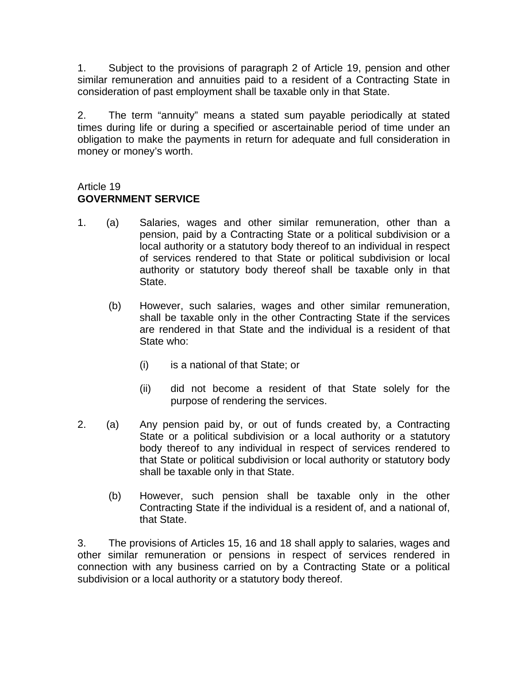1. Subject to the provisions of paragraph 2 of Article 19, pension and other similar remuneration and annuities paid to a resident of a Contracting State in consideration of past employment shall be taxable only in that State.

2. The term "annuity" means a stated sum payable periodically at stated times during life or during a specified or ascertainable period of time under an obligation to make the payments in return for adequate and full consideration in money or money's worth.

# Article 19 **GOVERNMENT SERVICE**

- 1. (a) Salaries, wages and other similar remuneration, other than a pension, paid by a Contracting State or a political subdivision or a local authority or a statutory body thereof to an individual in respect of services rendered to that State or political subdivision or local authority or statutory body thereof shall be taxable only in that State.
	- (b) However, such salaries, wages and other similar remuneration, shall be taxable only in the other Contracting State if the services are rendered in that State and the individual is a resident of that State who:
		- (i) is a national of that State; or
		- (ii) did not become a resident of that State solely for the purpose of rendering the services.
- 2. (a) Any pension paid by, or out of funds created by, a Contracting State or a political subdivision or a local authority or a statutory body thereof to any individual in respect of services rendered to that State or political subdivision or local authority or statutory body shall be taxable only in that State.
	- (b) However, such pension shall be taxable only in the other Contracting State if the individual is a resident of, and a national of, that State.

3. The provisions of Articles 15, 16 and 18 shall apply to salaries, wages and other similar remuneration or pensions in respect of services rendered in connection with any business carried on by a Contracting State or a political subdivision or a local authority or a statutory body thereof.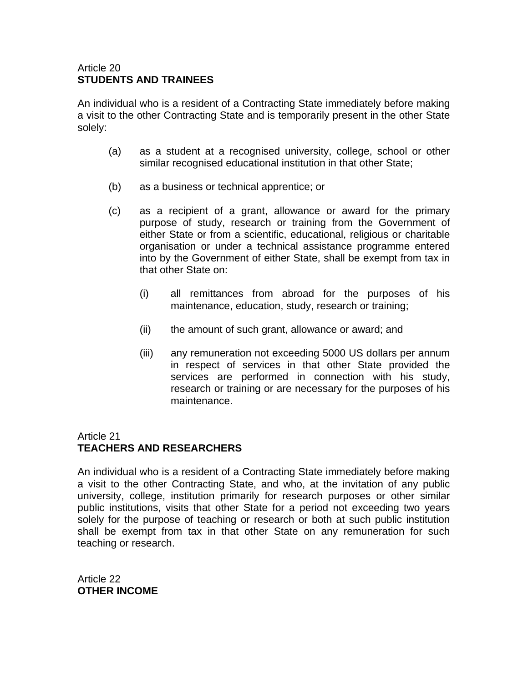#### Article 20 **STUDENTS AND TRAINEES**

An individual who is a resident of a Contracting State immediately before making a visit to the other Contracting State and is temporarily present in the other State solely:

- (a) as a student at a recognised university, college, school or other similar recognised educational institution in that other State;
- (b) as a business or technical apprentice; or
- (c) as a recipient of a grant, allowance or award for the primary purpose of study, research or training from the Government of either State or from a scientific, educational, religious or charitable organisation or under a technical assistance programme entered into by the Government of either State, shall be exempt from tax in that other State on:
	- (i) all remittances from abroad for the purposes of his maintenance, education, study, research or training;
	- (ii) the amount of such grant, allowance or award; and
	- (iii) any remuneration not exceeding 5000 US dollars per annum in respect of services in that other State provided the services are performed in connection with his study, research or training or are necessary for the purposes of his maintenance.

# Article 21 **TEACHERS AND RESEARCHERS**

An individual who is a resident of a Contracting State immediately before making a visit to the other Contracting State, and who, at the invitation of any public university, college, institution primarily for research purposes or other similar public institutions, visits that other State for a period not exceeding two years solely for the purpose of teaching or research or both at such public institution shall be exempt from tax in that other State on any remuneration for such teaching or research.

Article 22 **OTHER INCOME**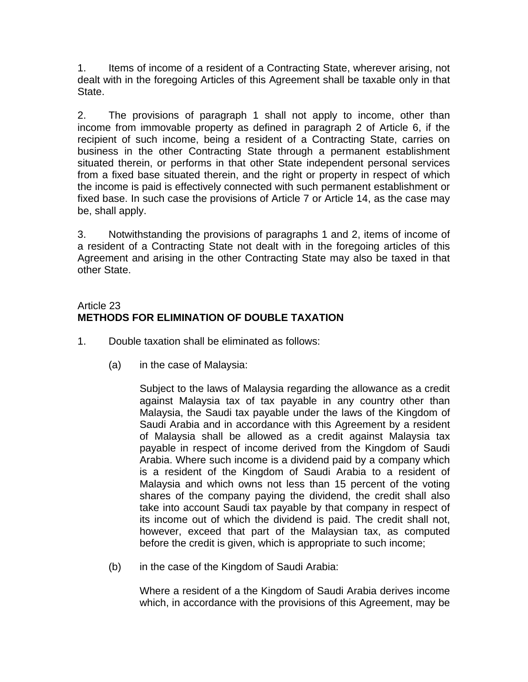1. Items of income of a resident of a Contracting State, wherever arising, not dealt with in the foregoing Articles of this Agreement shall be taxable only in that State.

2. The provisions of paragraph 1 shall not apply to income, other than income from immovable property as defined in paragraph 2 of Article 6, if the recipient of such income, being a resident of a Contracting State, carries on business in the other Contracting State through a permanent establishment situated therein, or performs in that other State independent personal services from a fixed base situated therein, and the right or property in respect of which the income is paid is effectively connected with such permanent establishment or fixed base. In such case the provisions of Article 7 or Article 14, as the case may be, shall apply.

3. Notwithstanding the provisions of paragraphs 1 and 2, items of income of a resident of a Contracting State not dealt with in the foregoing articles of this Agreement and arising in the other Contracting State may also be taxed in that other State.

# Article 23 **METHODS FOR ELIMINATION OF DOUBLE TAXATION**

- 1. Double taxation shall be eliminated as follows:
	- (a) in the case of Malaysia:

Subject to the laws of Malaysia regarding the allowance as a credit against Malaysia tax of tax payable in any country other than Malaysia, the Saudi tax payable under the laws of the Kingdom of Saudi Arabia and in accordance with this Agreement by a resident of Malaysia shall be allowed as a credit against Malaysia tax payable in respect of income derived from the Kingdom of Saudi Arabia. Where such income is a dividend paid by a company which is a resident of the Kingdom of Saudi Arabia to a resident of Malaysia and which owns not less than 15 percent of the voting shares of the company paying the dividend, the credit shall also take into account Saudi tax payable by that company in respect of its income out of which the dividend is paid. The credit shall not, however, exceed that part of the Malaysian tax, as computed before the credit is given, which is appropriate to such income;

(b) in the case of the Kingdom of Saudi Arabia:

Where a resident of a the Kingdom of Saudi Arabia derives income which, in accordance with the provisions of this Agreement, may be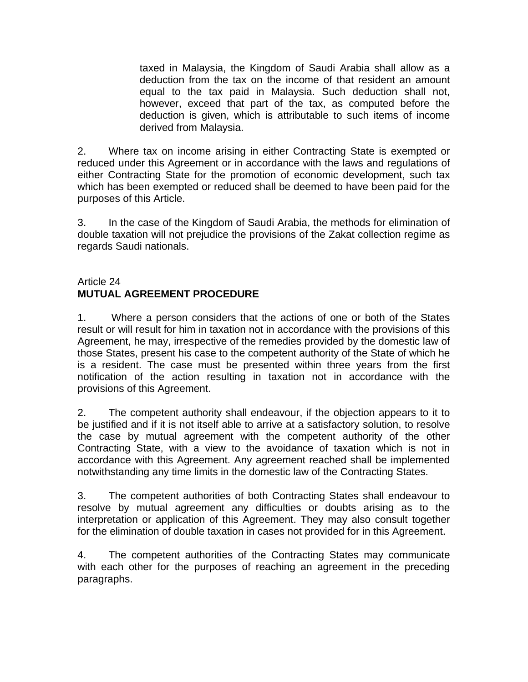taxed in Malaysia, the Kingdom of Saudi Arabia shall allow as a deduction from the tax on the income of that resident an amount equal to the tax paid in Malaysia. Such deduction shall not, however, exceed that part of the tax, as computed before the deduction is given, which is attributable to such items of income derived from Malaysia.

2. Where tax on income arising in either Contracting State is exempted or reduced under this Agreement or in accordance with the laws and regulations of either Contracting State for the promotion of economic development, such tax which has been exempted or reduced shall be deemed to have been paid for the purposes of this Article.

3. In the case of the Kingdom of Saudi Arabia, the methods for elimination of double taxation will not prejudice the provisions of the Zakat collection regime as regards Saudi nationals.

# Article 24 **MUTUAL AGREEMENT PROCEDURE**

1. Where a person considers that the actions of one or both of the States result or will result for him in taxation not in accordance with the provisions of this Agreement, he may, irrespective of the remedies provided by the domestic law of those States, present his case to the competent authority of the State of which he is a resident. The case must be presented within three years from the first notification of the action resulting in taxation not in accordance with the provisions of this Agreement.

2. The competent authority shall endeavour, if the objection appears to it to be justified and if it is not itself able to arrive at a satisfactory solution, to resolve the case by mutual agreement with the competent authority of the other Contracting State, with a view to the avoidance of taxation which is not in accordance with this Agreement. Any agreement reached shall be implemented notwithstanding any time limits in the domestic law of the Contracting States.

3. The competent authorities of both Contracting States shall endeavour to resolve by mutual agreement any difficulties or doubts arising as to the interpretation or application of this Agreement. They may also consult together for the elimination of double taxation in cases not provided for in this Agreement.

4. The competent authorities of the Contracting States may communicate with each other for the purposes of reaching an agreement in the preceding paragraphs.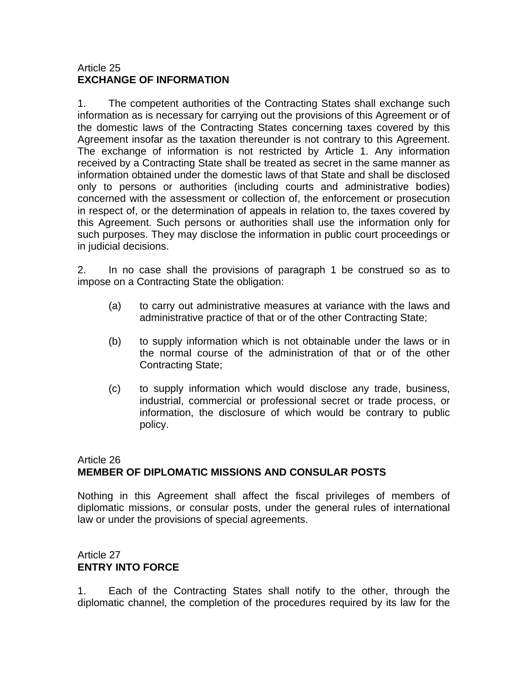#### Article 25 **EXCHANGE OF INFORMATION**

1. The competent authorities of the Contracting States shall exchange such information as is necessary for carrying out the provisions of this Agreement or of the domestic laws of the Contracting States concerning taxes covered by this Agreement insofar as the taxation thereunder is not contrary to this Agreement. The exchange of information is not restricted by Article 1. Any information received by a Contracting State shall be treated as secret in the same manner as information obtained under the domestic laws of that State and shall be disclosed only to persons or authorities (including courts and administrative bodies) concerned with the assessment or collection of, the enforcement or prosecution in respect of, or the determination of appeals in relation to, the taxes covered by this Agreement. Such persons or authorities shall use the information only for such purposes. They may disclose the information in public court proceedings or in judicial decisions.

2. In no case shall the provisions of paragraph 1 be construed so as to impose on a Contracting State the obligation:

- (a) to carry out administrative measures at variance with the laws and administrative practice of that or of the other Contracting State;
- (b) to supply information which is not obtainable under the laws or in the normal course of the administration of that or of the other Contracting State;
- (c) to supply information which would disclose any trade, business, industrial, commercial or professional secret or trade process, or information, the disclosure of which would be contrary to public policy.

### Article 26 **MEMBER OF DIPLOMATIC MISSIONS AND CONSULAR POSTS**

Nothing in this Agreement shall affect the fiscal privileges of members of diplomatic missions, or consular posts, under the general rules of international law or under the provisions of special agreements.

# Article 27 **ENTRY INTO FORCE**

1. Each of the Contracting States shall notify to the other, through the diplomatic channel, the completion of the procedures required by its law for the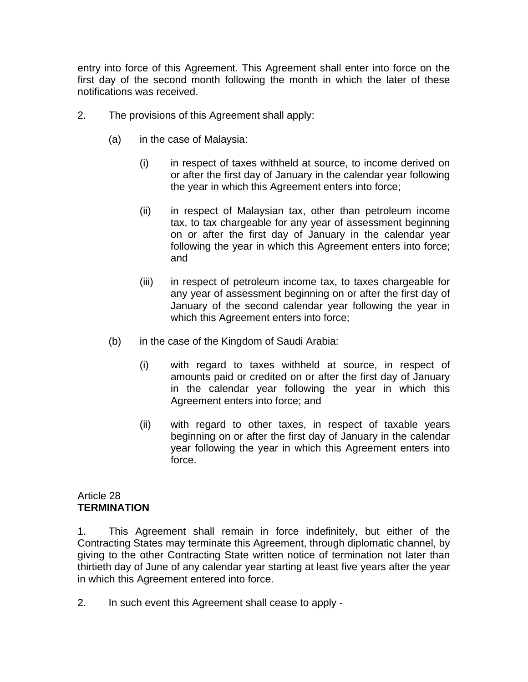entry into force of this Agreement. This Agreement shall enter into force on the first day of the second month following the month in which the later of these notifications was received.

- 2. The provisions of this Agreement shall apply:
	- (a) in the case of Malaysia:
		- (i) in respect of taxes withheld at source, to income derived on or after the first day of January in the calendar year following the year in which this Agreement enters into force;
		- (ii) in respect of Malaysian tax, other than petroleum income tax, to tax chargeable for any year of assessment beginning on or after the first day of January in the calendar year following the year in which this Agreement enters into force; and
		- (iii) in respect of petroleum income tax, to taxes chargeable for any year of assessment beginning on or after the first day of January of the second calendar year following the year in which this Agreement enters into force;
	- (b) in the case of the Kingdom of Saudi Arabia:
		- (i) with regard to taxes withheld at source, in respect of amounts paid or credited on or after the first day of January in the calendar year following the year in which this Agreement enters into force; and
		- (ii) with regard to other taxes, in respect of taxable years beginning on or after the first day of January in the calendar year following the year in which this Agreement enters into force.

# Article 28 **TERMINATION**

1. This Agreement shall remain in force indefinitely, but either of the Contracting States may terminate this Agreement, through diplomatic channel, by giving to the other Contracting State written notice of termination not later than thirtieth day of June of any calendar year starting at least five years after the year in which this Agreement entered into force.

2. In such event this Agreement shall cease to apply -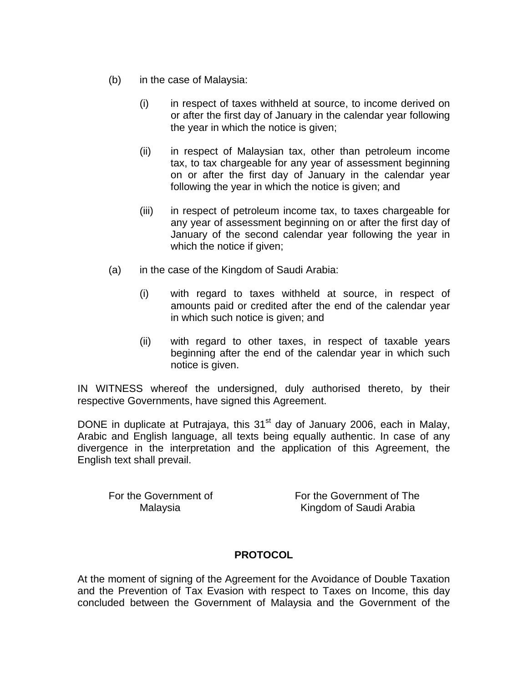- (b) in the case of Malaysia:
	- (i) in respect of taxes withheld at source, to income derived on or after the first day of January in the calendar year following the year in which the notice is given;
	- (ii) in respect of Malaysian tax, other than petroleum income tax, to tax chargeable for any year of assessment beginning on or after the first day of January in the calendar year following the year in which the notice is given; and
	- (iii) in respect of petroleum income tax, to taxes chargeable for any year of assessment beginning on or after the first day of January of the second calendar year following the year in which the notice if given;
- (a) in the case of the Kingdom of Saudi Arabia:
	- (i) with regard to taxes withheld at source, in respect of amounts paid or credited after the end of the calendar year in which such notice is given; and
	- (ii) with regard to other taxes, in respect of taxable years beginning after the end of the calendar year in which such notice is given.

IN WITNESS whereof the undersigned, duly authorised thereto, by their respective Governments, have signed this Agreement.

DONE in duplicate at Putrajaya, this 31<sup>st</sup> day of January 2006, each in Malay, Arabic and English language, all texts being equally authentic. In case of any divergence in the interpretation and the application of this Agreement, the English text shall prevail.

For the Government of For the Government of The Malaysia **Kingdom of Saudi Arabia** 

#### **PROTOCOL**

At the moment of signing of the Agreement for the Avoidance of Double Taxation and the Prevention of Tax Evasion with respect to Taxes on Income, this day concluded between the Government of Malaysia and the Government of the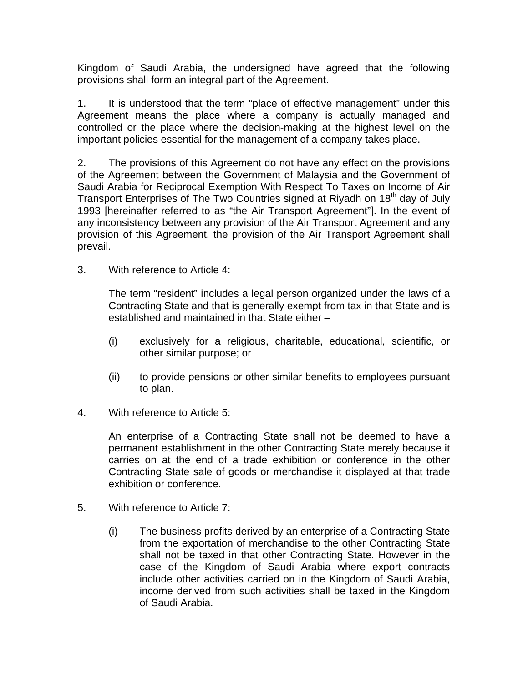Kingdom of Saudi Arabia, the undersigned have agreed that the following provisions shall form an integral part of the Agreement.

1. It is understood that the term "place of effective management" under this Agreement means the place where a company is actually managed and controlled or the place where the decision-making at the highest level on the important policies essential for the management of a company takes place.

2. The provisions of this Agreement do not have any effect on the provisions of the Agreement between the Government of Malaysia and the Government of Saudi Arabia for Reciprocal Exemption With Respect To Taxes on Income of Air Transport Enterprises of The Two Countries signed at Riyadh on 18<sup>th</sup> day of July 1993 [hereinafter referred to as "the Air Transport Agreement"]. In the event of any inconsistency between any provision of the Air Transport Agreement and any provision of this Agreement, the provision of the Air Transport Agreement shall prevail.

3. With reference to Article 4:

The term "resident" includes a legal person organized under the laws of a Contracting State and that is generally exempt from tax in that State and is established and maintained in that State either –

- (i) exclusively for a religious, charitable, educational, scientific, or other similar purpose; or
- (ii) to provide pensions or other similar benefits to employees pursuant to plan.
- 4. With reference to Article 5:

An enterprise of a Contracting State shall not be deemed to have a permanent establishment in the other Contracting State merely because it carries on at the end of a trade exhibition or conference in the other Contracting State sale of goods or merchandise it displayed at that trade exhibition or conference.

- 5. With reference to Article 7:
	- (i) The business profits derived by an enterprise of a Contracting State from the exportation of merchandise to the other Contracting State shall not be taxed in that other Contracting State. However in the case of the Kingdom of Saudi Arabia where export contracts include other activities carried on in the Kingdom of Saudi Arabia, income derived from such activities shall be taxed in the Kingdom of Saudi Arabia.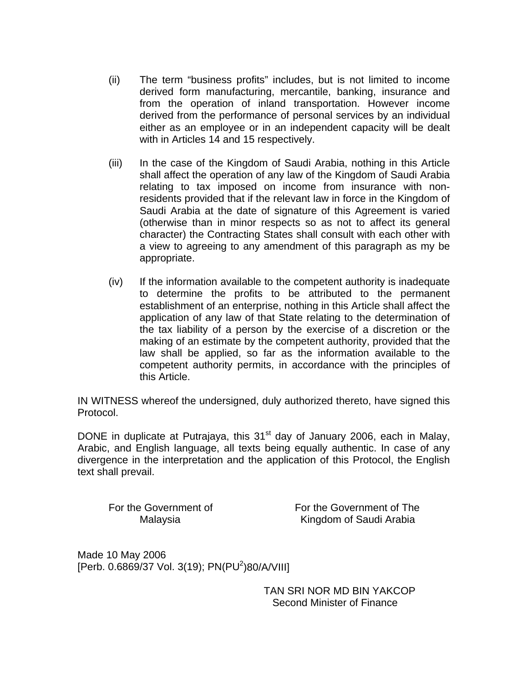- (ii) The term "business profits" includes, but is not limited to income derived form manufacturing, mercantile, banking, insurance and from the operation of inland transportation. However income derived from the performance of personal services by an individual either as an employee or in an independent capacity will be dealt with in Articles 14 and 15 respectively.
- (iii) In the case of the Kingdom of Saudi Arabia, nothing in this Article shall affect the operation of any law of the Kingdom of Saudi Arabia relating to tax imposed on income from insurance with nonresidents provided that if the relevant law in force in the Kingdom of Saudi Arabia at the date of signature of this Agreement is varied (otherwise than in minor respects so as not to affect its general character) the Contracting States shall consult with each other with a view to agreeing to any amendment of this paragraph as my be appropriate.
- (iv) If the information available to the competent authority is inadequate to determine the profits to be attributed to the permanent establishment of an enterprise, nothing in this Article shall affect the application of any law of that State relating to the determination of the tax liability of a person by the exercise of a discretion or the making of an estimate by the competent authority, provided that the law shall be applied, so far as the information available to the competent authority permits, in accordance with the principles of this Article.

IN WITNESS whereof the undersigned, duly authorized thereto, have signed this Protocol.

DONE in duplicate at Putrajaya, this 31<sup>st</sup> day of January 2006, each in Malay, Arabic, and English language, all texts being equally authentic. In case of any divergence in the interpretation and the application of this Protocol, the English text shall prevail.

For the Government of For the Government of The Malaysia **Kingdom of Saudi Arabia** 

Made 10 May 2006 [Perb. 0.6869/37 Vol. 3(19); PN(PU<sup>2</sup>)80/A/VIII]

> TAN SRI NOR MD BIN YAKCOP Second Minister of Finance